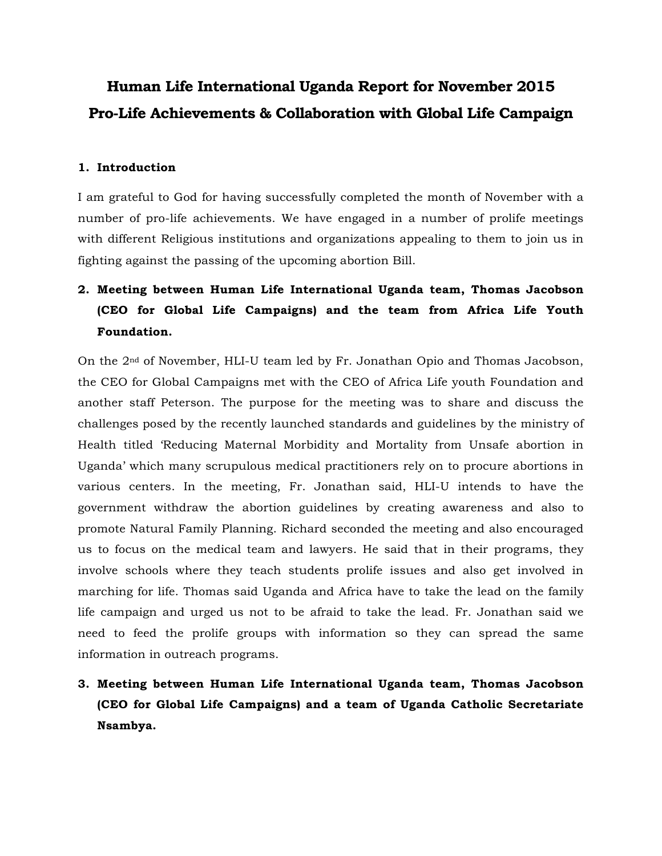# **Human Life International Uganda Report for November 2015 Pro-Life Achievements & Collaboration with Global Life Campaign**

#### **1. Introduction**

I am grateful to God for having successfully completed the month of November with a number of pro-life achievements. We have engaged in a number of prolife meetings with different Religious institutions and organizations appealing to them to join us in fighting against the passing of the upcoming abortion Bill.

## **2. Meeting between Human Life International Uganda team, Thomas Jacobson (CEO for Global Life Campaigns) and the team from Africa Life Youth Foundation.**

On the 2nd of November, HLI-U team led by Fr. Jonathan Opio and Thomas Jacobson, the CEO for Global Campaigns met with the CEO of Africa Life youth Foundation and another staff Peterson. The purpose for the meeting was to share and discuss the challenges posed by the recently launched standards and guidelines by the ministry of Health titled 'Reducing Maternal Morbidity and Mortality from Unsafe abortion in Uganda' which many scrupulous medical practitioners rely on to procure abortions in various centers. In the meeting, Fr. Jonathan said, HLI-U intends to have the government withdraw the abortion guidelines by creating awareness and also to promote Natural Family Planning. Richard seconded the meeting and also encouraged us to focus on the medical team and lawyers. He said that in their programs, they involve schools where they teach students prolife issues and also get involved in marching for life. Thomas said Uganda and Africa have to take the lead on the family life campaign and urged us not to be afraid to take the lead. Fr. Jonathan said we need to feed the prolife groups with information so they can spread the same information in outreach programs.

**3. Meeting between Human Life International Uganda team, Thomas Jacobson (CEO for Global Life Campaigns) and a team of Uganda Catholic Secretariate Nsambya.**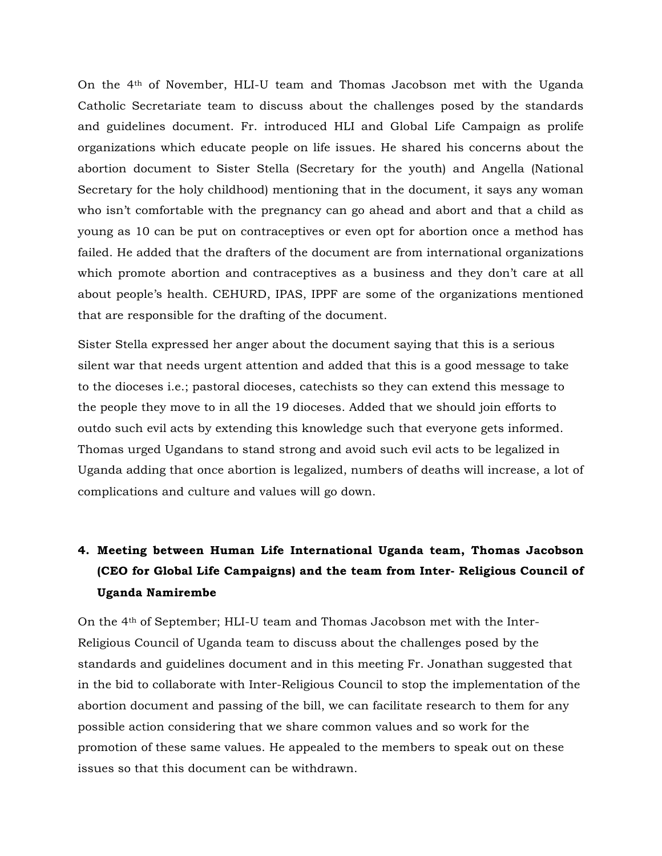On the 4th of November, HLI-U team and Thomas Jacobson met with the Uganda Catholic Secretariate team to discuss about the challenges posed by the standards and guidelines document. Fr. introduced HLI and Global Life Campaign as prolife organizations which educate people on life issues. He shared his concerns about the abortion document to Sister Stella (Secretary for the youth) and Angella (National Secretary for the holy childhood) mentioning that in the document, it says any woman who isn't comfortable with the pregnancy can go ahead and abort and that a child as young as 10 can be put on contraceptives or even opt for abortion once a method has failed. He added that the drafters of the document are from international organizations which promote abortion and contraceptives as a business and they don't care at all about people's health. CEHURD, IPAS, IPPF are some of the organizations mentioned that are responsible for the drafting of the document.

Sister Stella expressed her anger about the document saying that this is a serious silent war that needs urgent attention and added that this is a good message to take to the dioceses i.e.; pastoral dioceses, catechists so they can extend this message to the people they move to in all the 19 dioceses. Added that we should join efforts to outdo such evil acts by extending this knowledge such that everyone gets informed. Thomas urged Ugandans to stand strong and avoid such evil acts to be legalized in Uganda adding that once abortion is legalized, numbers of deaths will increase, a lot of complications and culture and values will go down.

## **4. Meeting between Human Life International Uganda team, Thomas Jacobson (CEO for Global Life Campaigns) and the team from Inter- Religious Council of Uganda Namirembe**

On the 4th of September; HLI-U team and Thomas Jacobson met with the Inter-Religious Council of Uganda team to discuss about the challenges posed by the standards and guidelines document and in this meeting Fr. Jonathan suggested that in the bid to collaborate with Inter-Religious Council to stop the implementation of the abortion document and passing of the bill, we can facilitate research to them for any possible action considering that we share common values and so work for the promotion of these same values. He appealed to the members to speak out on these issues so that this document can be withdrawn.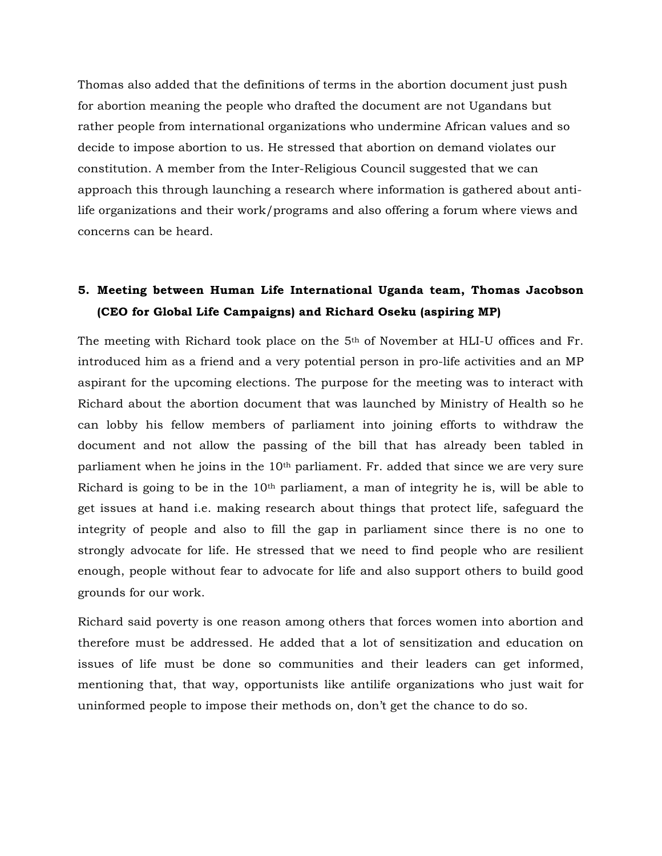Thomas also added that the definitions of terms in the abortion document just push for abortion meaning the people who drafted the document are not Ugandans but rather people from international organizations who undermine African values and so decide to impose abortion to us. He stressed that abortion on demand violates our constitution. A member from the Inter-Religious Council suggested that we can approach this through launching a research where information is gathered about antilife organizations and their work/programs and also offering a forum where views and concerns can be heard.

#### **5. Meeting between Human Life International Uganda team, Thomas Jacobson (CEO for Global Life Campaigns) and Richard Oseku (aspiring MP)**

The meeting with Richard took place on the 5th of November at HLI-U offices and Fr. introduced him as a friend and a very potential person in pro-life activities and an MP aspirant for the upcoming elections. The purpose for the meeting was to interact with Richard about the abortion document that was launched by Ministry of Health so he can lobby his fellow members of parliament into joining efforts to withdraw the document and not allow the passing of the bill that has already been tabled in parliament when he joins in the 10th parliament. Fr. added that since we are very sure Richard is going to be in the  $10<sup>th</sup>$  parliament, a man of integrity he is, will be able to get issues at hand i.e. making research about things that protect life, safeguard the integrity of people and also to fill the gap in parliament since there is no one to strongly advocate for life. He stressed that we need to find people who are resilient enough, people without fear to advocate for life and also support others to build good grounds for our work.

Richard said poverty is one reason among others that forces women into abortion and therefore must be addressed. He added that a lot of sensitization and education on issues of life must be done so communities and their leaders can get informed, mentioning that, that way, opportunists like antilife organizations who just wait for uninformed people to impose their methods on, don't get the chance to do so.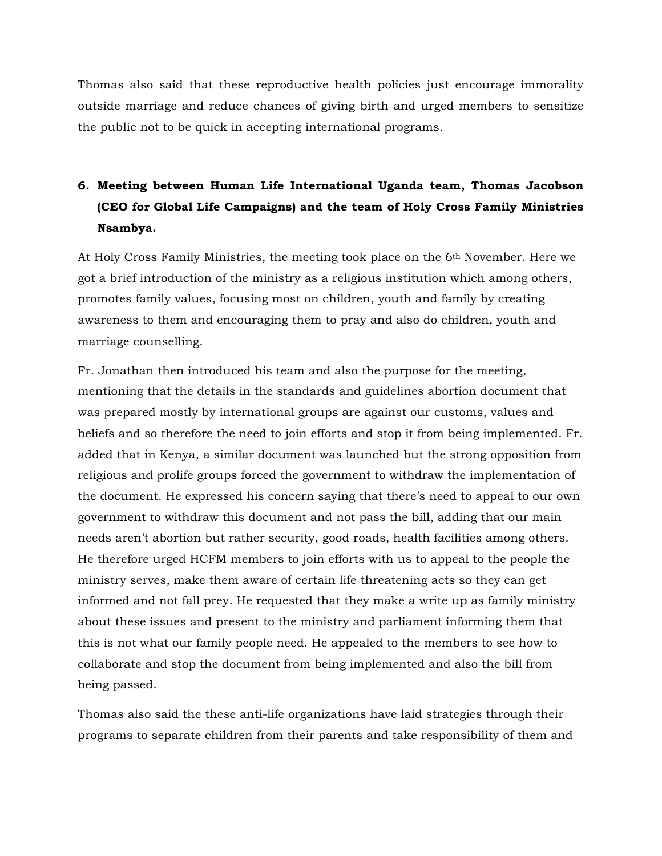Thomas also said that these reproductive health policies just encourage immorality outside marriage and reduce chances of giving birth and urged members to sensitize the public not to be quick in accepting international programs.

#### **6. Meeting between Human Life International Uganda team, Thomas Jacobson (CEO for Global Life Campaigns) and the team of Holy Cross Family Ministries Nsambya.**

At Holy Cross Family Ministries, the meeting took place on the 6th November. Here we got a brief introduction of the ministry as a religious institution which among others, promotes family values, focusing most on children, youth and family by creating awareness to them and encouraging them to pray and also do children, youth and marriage counselling.

Fr. Jonathan then introduced his team and also the purpose for the meeting, mentioning that the details in the standards and guidelines abortion document that was prepared mostly by international groups are against our customs, values and beliefs and so therefore the need to join efforts and stop it from being implemented. Fr. added that in Kenya, a similar document was launched but the strong opposition from religious and prolife groups forced the government to withdraw the implementation of the document. He expressed his concern saying that there's need to appeal to our own government to withdraw this document and not pass the bill, adding that our main needs aren't abortion but rather security, good roads, health facilities among others. He therefore urged HCFM members to join efforts with us to appeal to the people the ministry serves, make them aware of certain life threatening acts so they can get informed and not fall prey. He requested that they make a write up as family ministry about these issues and present to the ministry and parliament informing them that this is not what our family people need. He appealed to the members to see how to collaborate and stop the document from being implemented and also the bill from being passed.

Thomas also said the these anti-life organizations have laid strategies through their programs to separate children from their parents and take responsibility of them and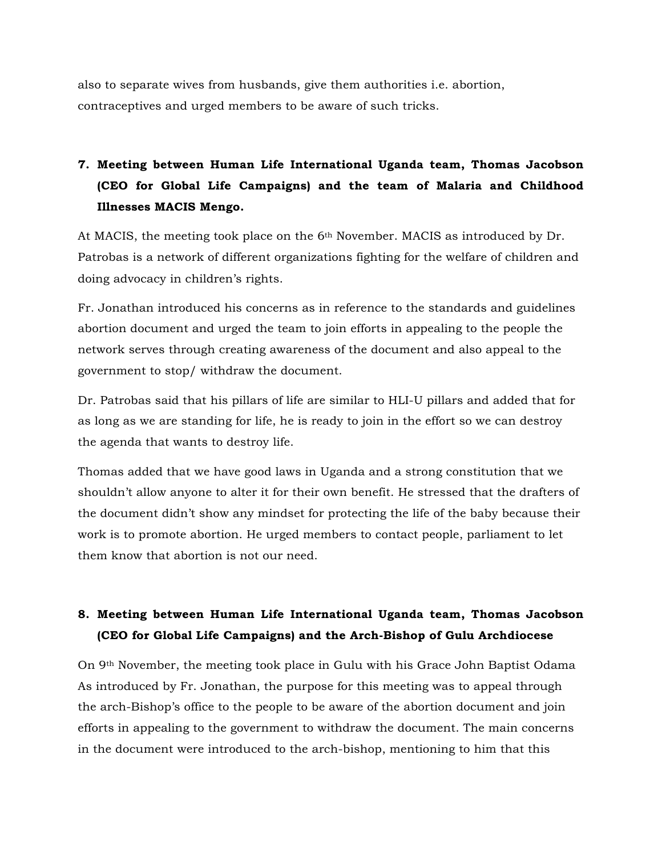also to separate wives from husbands, give them authorities i.e. abortion, contraceptives and urged members to be aware of such tricks.

## **7. Meeting between Human Life International Uganda team, Thomas Jacobson (CEO for Global Life Campaigns) and the team of Malaria and Childhood Illnesses MACIS Mengo.**

At MACIS, the meeting took place on the 6th November. MACIS as introduced by Dr. Patrobas is a network of different organizations fighting for the welfare of children and doing advocacy in children's rights.

Fr. Jonathan introduced his concerns as in reference to the standards and guidelines abortion document and urged the team to join efforts in appealing to the people the network serves through creating awareness of the document and also appeal to the government to stop/ withdraw the document.

Dr. Patrobas said that his pillars of life are similar to HLI-U pillars and added that for as long as we are standing for life, he is ready to join in the effort so we can destroy the agenda that wants to destroy life.

Thomas added that we have good laws in Uganda and a strong constitution that we shouldn't allow anyone to alter it for their own benefit. He stressed that the drafters of the document didn't show any mindset for protecting the life of the baby because their work is to promote abortion. He urged members to contact people, parliament to let them know that abortion is not our need.

#### **8. Meeting between Human Life International Uganda team, Thomas Jacobson (CEO for Global Life Campaigns) and the Arch-Bishop of Gulu Archdiocese**

On 9th November, the meeting took place in Gulu with his Grace John Baptist Odama As introduced by Fr. Jonathan, the purpose for this meeting was to appeal through the arch-Bishop's office to the people to be aware of the abortion document and join efforts in appealing to the government to withdraw the document. The main concerns in the document were introduced to the arch-bishop, mentioning to him that this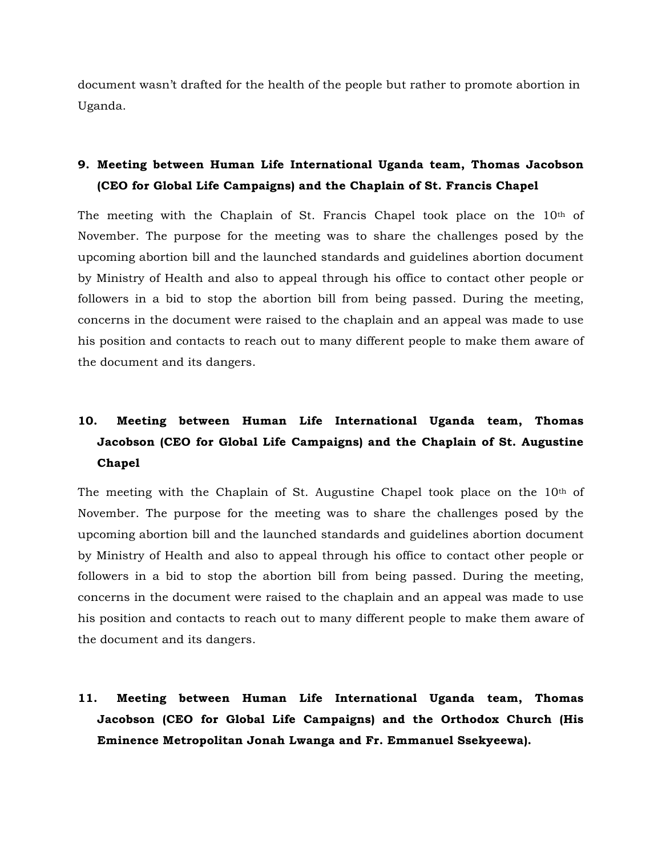document wasn't drafted for the health of the people but rather to promote abortion in Uganda.

#### **9. Meeting between Human Life International Uganda team, Thomas Jacobson (CEO for Global Life Campaigns) and the Chaplain of St. Francis Chapel**

The meeting with the Chaplain of St. Francis Chapel took place on the  $10<sup>th</sup>$  of November. The purpose for the meeting was to share the challenges posed by the upcoming abortion bill and the launched standards and guidelines abortion document by Ministry of Health and also to appeal through his office to contact other people or followers in a bid to stop the abortion bill from being passed. During the meeting, concerns in the document were raised to the chaplain and an appeal was made to use his position and contacts to reach out to many different people to make them aware of the document and its dangers.

## **10. Meeting between Human Life International Uganda team, Thomas Jacobson (CEO for Global Life Campaigns) and the Chaplain of St. Augustine Chapel**

The meeting with the Chaplain of St. Augustine Chapel took place on the  $10<sup>th</sup>$  of November. The purpose for the meeting was to share the challenges posed by the upcoming abortion bill and the launched standards and guidelines abortion document by Ministry of Health and also to appeal through his office to contact other people or followers in a bid to stop the abortion bill from being passed. During the meeting, concerns in the document were raised to the chaplain and an appeal was made to use his position and contacts to reach out to many different people to make them aware of the document and its dangers.

**11. Meeting between Human Life International Uganda team, Thomas Jacobson (CEO for Global Life Campaigns) and the Orthodox Church (His Eminence Metropolitan Jonah Lwanga and Fr. Emmanuel Ssekyeewa).**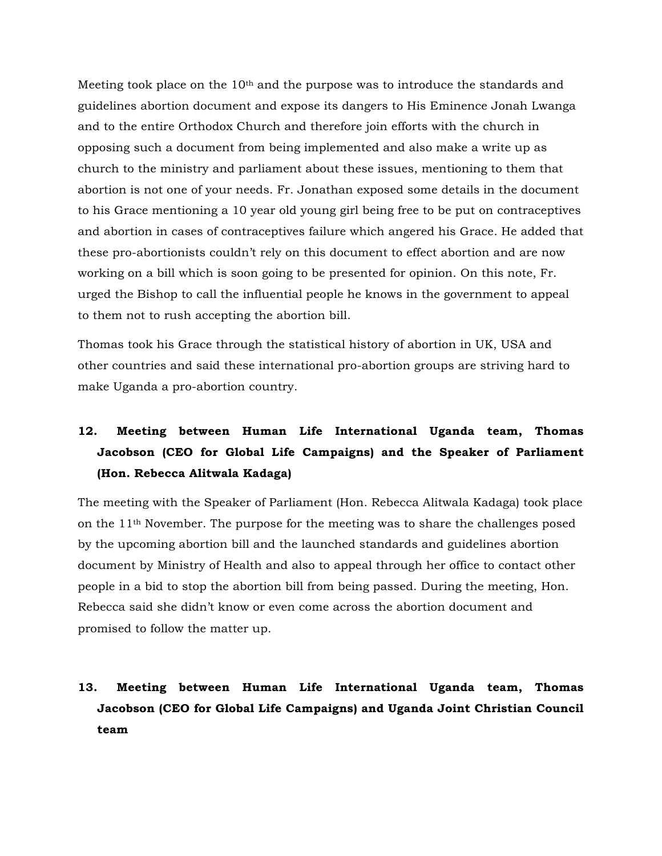Meeting took place on the  $10<sup>th</sup>$  and the purpose was to introduce the standards and guidelines abortion document and expose its dangers to His Eminence Jonah Lwanga and to the entire Orthodox Church and therefore join efforts with the church in opposing such a document from being implemented and also make a write up as church to the ministry and parliament about these issues, mentioning to them that abortion is not one of your needs. Fr. Jonathan exposed some details in the document to his Grace mentioning a 10 year old young girl being free to be put on contraceptives and abortion in cases of contraceptives failure which angered his Grace. He added that these pro-abortionists couldn't rely on this document to effect abortion and are now working on a bill which is soon going to be presented for opinion. On this note, Fr. urged the Bishop to call the influential people he knows in the government to appeal to them not to rush accepting the abortion bill.

Thomas took his Grace through the statistical history of abortion in UK, USA and other countries and said these international pro-abortion groups are striving hard to make Uganda a pro-abortion country.

## **12. Meeting between Human Life International Uganda team, Thomas Jacobson (CEO for Global Life Campaigns) and the Speaker of Parliament (Hon. Rebecca Alitwala Kadaga)**

The meeting with the Speaker of Parliament (Hon. Rebecca Alitwala Kadaga) took place on the 11th November. The purpose for the meeting was to share the challenges posed by the upcoming abortion bill and the launched standards and guidelines abortion document by Ministry of Health and also to appeal through her office to contact other people in a bid to stop the abortion bill from being passed. During the meeting, Hon. Rebecca said she didn't know or even come across the abortion document and promised to follow the matter up.

## **13. Meeting between Human Life International Uganda team, Thomas Jacobson (CEO for Global Life Campaigns) and Uganda Joint Christian Council team**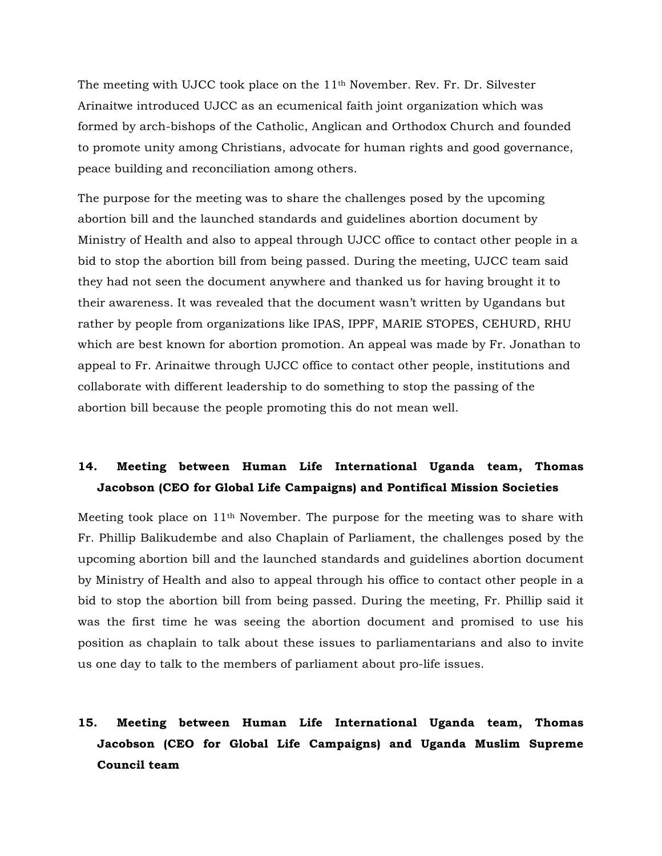The meeting with UJCC took place on the 11th November. Rev. Fr. Dr. Silvester Arinaitwe introduced UJCC as an ecumenical faith joint organization which was formed by arch-bishops of the Catholic, Anglican and Orthodox Church and founded to promote unity among Christians, advocate for human rights and good governance, peace building and reconciliation among others.

The purpose for the meeting was to share the challenges posed by the upcoming abortion bill and the launched standards and guidelines abortion document by Ministry of Health and also to appeal through UJCC office to contact other people in a bid to stop the abortion bill from being passed. During the meeting, UJCC team said they had not seen the document anywhere and thanked us for having brought it to their awareness. It was revealed that the document wasn't written by Ugandans but rather by people from organizations like IPAS, IPPF, MARIE STOPES, CEHURD, RHU which are best known for abortion promotion. An appeal was made by Fr. Jonathan to appeal to Fr. Arinaitwe through UJCC office to contact other people, institutions and collaborate with different leadership to do something to stop the passing of the abortion bill because the people promoting this do not mean well.

#### **14. Meeting between Human Life International Uganda team, Thomas Jacobson (CEO for Global Life Campaigns) and Pontifical Mission Societies**

Meeting took place on 11th November. The purpose for the meeting was to share with Fr. Phillip Balikudembe and also Chaplain of Parliament, the challenges posed by the upcoming abortion bill and the launched standards and guidelines abortion document by Ministry of Health and also to appeal through his office to contact other people in a bid to stop the abortion bill from being passed. During the meeting, Fr. Phillip said it was the first time he was seeing the abortion document and promised to use his position as chaplain to talk about these issues to parliamentarians and also to invite us one day to talk to the members of parliament about pro-life issues.

### **15. Meeting between Human Life International Uganda team, Thomas Jacobson (CEO for Global Life Campaigns) and Uganda Muslim Supreme Council team**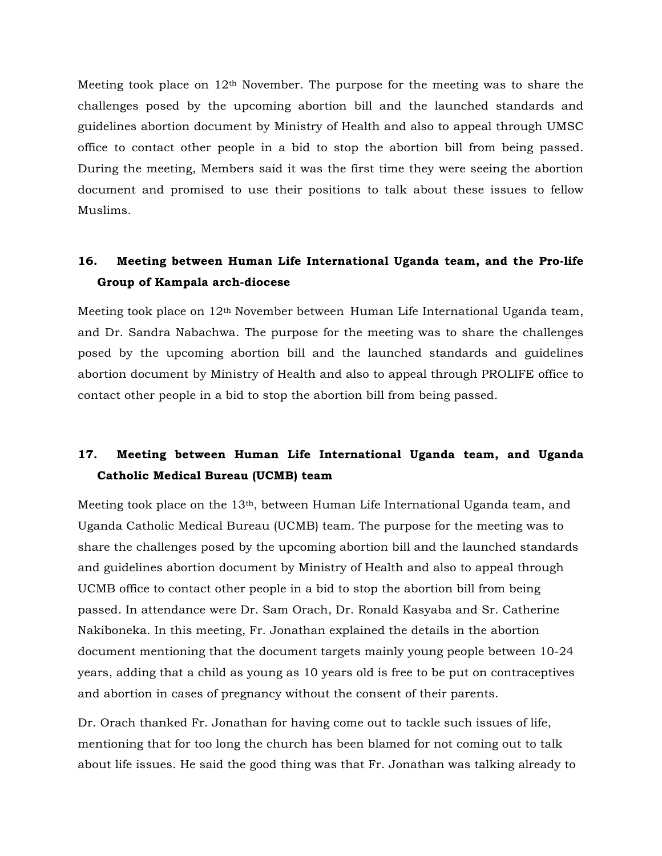Meeting took place on  $12<sup>th</sup>$  November. The purpose for the meeting was to share the challenges posed by the upcoming abortion bill and the launched standards and guidelines abortion document by Ministry of Health and also to appeal through UMSC office to contact other people in a bid to stop the abortion bill from being passed. During the meeting, Members said it was the first time they were seeing the abortion document and promised to use their positions to talk about these issues to fellow Muslims.

#### **16. Meeting between Human Life International Uganda team, and the Pro-life Group of Kampala arch-diocese**

Meeting took place on 12th November between Human Life International Uganda team, and Dr. Sandra Nabachwa. The purpose for the meeting was to share the challenges posed by the upcoming abortion bill and the launched standards and guidelines abortion document by Ministry of Health and also to appeal through PROLIFE office to contact other people in a bid to stop the abortion bill from being passed.

#### **17. Meeting between Human Life International Uganda team, and Uganda Catholic Medical Bureau (UCMB) team**

Meeting took place on the 13th, between Human Life International Uganda team, and Uganda Catholic Medical Bureau (UCMB) team. The purpose for the meeting was to share the challenges posed by the upcoming abortion bill and the launched standards and guidelines abortion document by Ministry of Health and also to appeal through UCMB office to contact other people in a bid to stop the abortion bill from being passed. In attendance were Dr. Sam Orach, Dr. Ronald Kasyaba and Sr. Catherine Nakiboneka. In this meeting, Fr. Jonathan explained the details in the abortion document mentioning that the document targets mainly young people between 10-24 years, adding that a child as young as 10 years old is free to be put on contraceptives and abortion in cases of pregnancy without the consent of their parents.

Dr. Orach thanked Fr. Jonathan for having come out to tackle such issues of life, mentioning that for too long the church has been blamed for not coming out to talk about life issues. He said the good thing was that Fr. Jonathan was talking already to